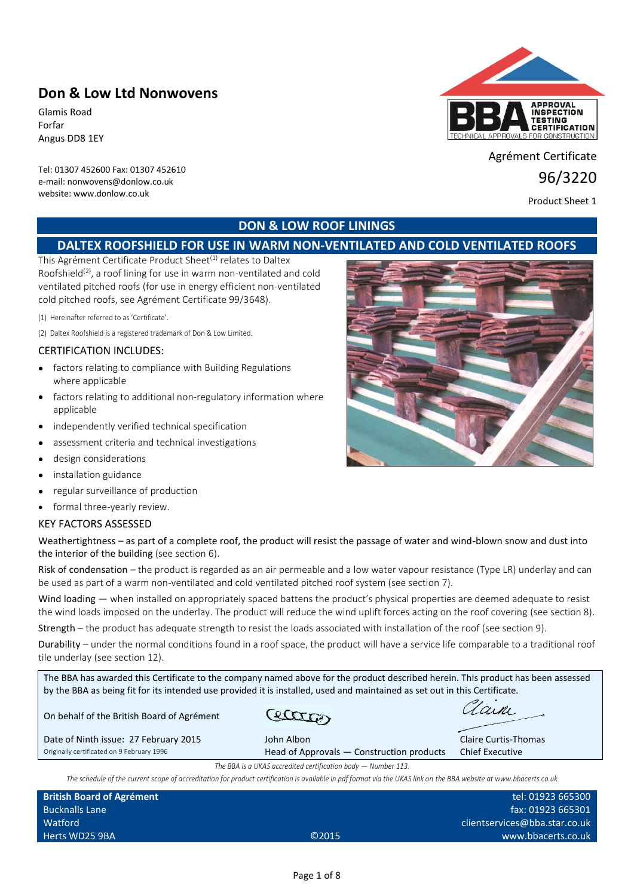# **Don & Low Ltd Nonwovens**

Glamis Road Forfar Angus DD8 1EY

Tel: 01307 452600 Fax: 01307 452610 e-mail: nonwovens@donlow.co.uk website: www.donlow.co.uk



Agrément Certificate

96/3220

Product Sheet 1

## **DON & LOW ROOF LININGS**

# **DALTEX ROOFSHIELD FOR USE IN WARM NON-VENTILATED AND COLD VENTILATED ROOFS**

This Agrément Certificate Product Sheet<sup>(1)</sup> relates to Daltex Roofshield<sup>(2)</sup>, a roof lining for use in warm non-ventilated and cold ventilated pitched roofs (for use in energy efficient non-ventilated cold pitched roofs, see Agrément Certificate 99/3648).

(1) Hereinafter referred to as 'Certificate'.

(2) Daltex Roofshield is a registered trademark of Don & Low Limited.

#### CERTIFICATION INCLUDES:

- factors relating to compliance with Building Regulations where applicable
- factors relating to additional non-regulatory information where applicable
- independently verified technical specification
- assessment criteria and technical investigations
- design considerations
- installation guidance
- regular surveillance of production
- formal three-yearly review.

#### KEY FACTORS ASSESSED

Weathertightness – as part of a complete roof, the product will resist the passage of water and wind-blown snow and dust into the interior of the building (see section 6).

Risk of condensation – the product is regarded as an air permeable and a low water vapour resistance (Type LR) underlay and can be used as part of a warm non-ventilated and cold ventilated pitched roof system (see section 7).

Wind loading — when installed on appropriately spaced battens the product's physical properties are deemed adequate to resist the wind loads imposed on the underlay. The product will reduce the wind uplift forces acting on the roof covering (see section 8).

Strength – the product has adequate strength to resist the loads associated with installation of the roof (see section 9).

Durability – under the normal conditions found in a roof space, the product will have a service life comparable to a traditional roof tile underlay (see section 12).

The BBA has awarded this Certificate to the company named above for the product described herein. This product has been assessed by the BBA as being fit for its intended use provided it is installed, used and maintained as set out in this Certificate. Zain ettra On behalf of the British Board of Agrément Date of Ninth issue: 27 February 2015 John Albon John Albon Claire Curtis-Thomas Originally certificated on 9 February 1996 Head of Approvals — Construction products Chief Executive *The BBA is a UKAS accredited certification body — Number 113. The schedule of the current scope of accreditation for product certification is available in pdf format via the UKAS link on the BBA website at www.bbacerts.co.uk* **British Board of Agrément** tel: 01923 665300

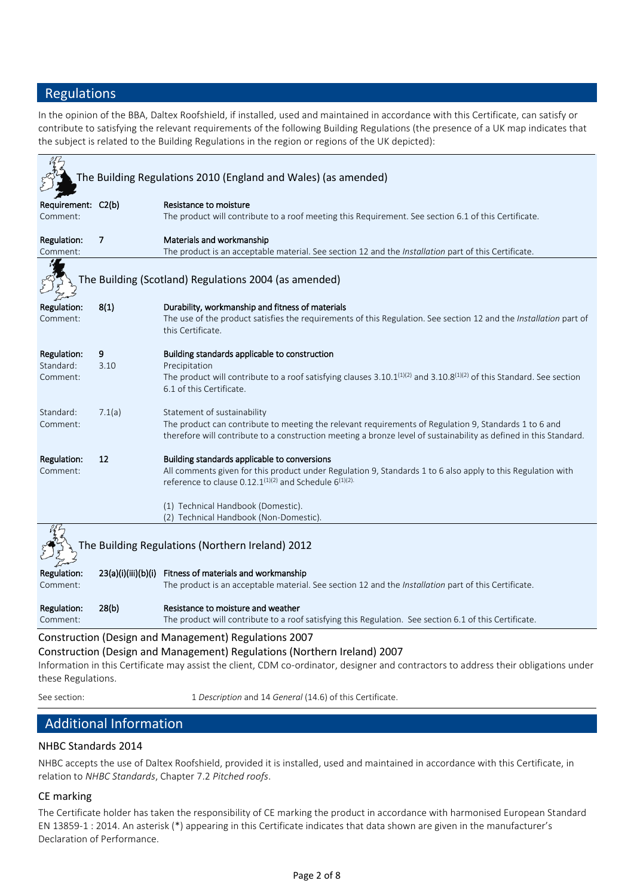## Regulations

In the opinion of the BBA, Daltex Roofshield, if installed, used and maintained in accordance with this Certificate, can satisfy or contribute to satisfying the relevant requirements of the following Building Regulations (the presence of a UK map indicates that the subject is related to the Building Regulations in the region or regions of the UK depicted):

|                                      |           | The Building Regulations 2010 (England and Wales) (as amended)                                                                                                                                                                                                                                                          |
|--------------------------------------|-----------|-------------------------------------------------------------------------------------------------------------------------------------------------------------------------------------------------------------------------------------------------------------------------------------------------------------------------|
| Requirement: C2(b)<br>Comment:       |           | Resistance to moisture<br>The product will contribute to a roof meeting this Requirement. See section 6.1 of this Certificate.                                                                                                                                                                                          |
| Regulation:<br>Comment:              | 7         | Materials and workmanship<br>The product is an acceptable material. See section 12 and the <i>Installation</i> part of this Certificate.                                                                                                                                                                                |
|                                      |           | The Building (Scotland) Regulations 2004 (as amended)                                                                                                                                                                                                                                                                   |
| <b>Regulation:</b><br>Comment:       | 8(1)      | Durability, workmanship and fitness of materials<br>The use of the product satisfies the requirements of this Regulation. See section 12 and the Installation part of<br>this Certificate.                                                                                                                              |
| Regulation:<br>Standard:<br>Comment: | 9<br>3.10 | Building standards applicable to construction<br>Precipitation<br>The product will contribute to a roof satisfying clauses $3.10.1^{(1)(2)}$ and $3.10.8^{(1)(2)}$ of this Standard. See section<br>6.1 of this Certificate.                                                                                            |
| Standard:<br>Comment:                | 7.1(a)    | Statement of sustainability<br>The product can contribute to meeting the relevant requirements of Regulation 9, Standards 1 to 6 and<br>therefore will contribute to a construction meeting a bronze level of sustainability as defined in this Standard.                                                               |
| Regulation:<br>Comment:              | 12        | Building standards applicable to conversions<br>All comments given for this product under Regulation 9, Standards 1 to 6 also apply to this Regulation with<br>reference to clause $0.12.1^{(1)(2)}$ and Schedule 6 <sup>(1)(2)</sup> .<br>(1) Technical Handbook (Domestic).<br>(2) Technical Handbook (Non-Domestic). |
|                                      |           | The Building Regulations (Northern Ireland) 2012                                                                                                                                                                                                                                                                        |
| <b>Regulation:</b><br>Comment:       |           | 23(a)(i)(iii)(b)(i) Fitness of materials and workmanship<br>The product is an acceptable material. See section 12 and the Installation part of this Certificate.                                                                                                                                                        |
| Regulation:<br>Comment:              | 28(b)     | Resistance to moisture and weather<br>The product will contribute to a roof satisfying this Regulation. See section 6.1 of this Certificate.                                                                                                                                                                            |
|                                      |           | Construction (Design and Management) Regulations 2007                                                                                                                                                                                                                                                                   |

#### Construction (Design and Management) Regulations (Northern Ireland) 2007

Information in this Certificate may assist the client, CDM co-ordinator, designer and contractors to address their obligations under these Regulations.

See section: 1 *Description* and 14 *General* (14.6) of this Certificate.

# Additional Information

## NHBC Standards 2014

NHBC accepts the use of Daltex Roofshield, provided it is installed, used and maintained in accordance with this Certificate, in relation to *NHBC Standards*, Chapter 7.2 *Pitched roofs*.

## CE marking

The Certificate holder has taken the responsibility of CE marking the product in accordance with harmonised European Standard EN 13859-1 : 2014. An asterisk (\*) appearing in this Certificate indicates that data shown are given in the manufacturer's Declaration of Performance.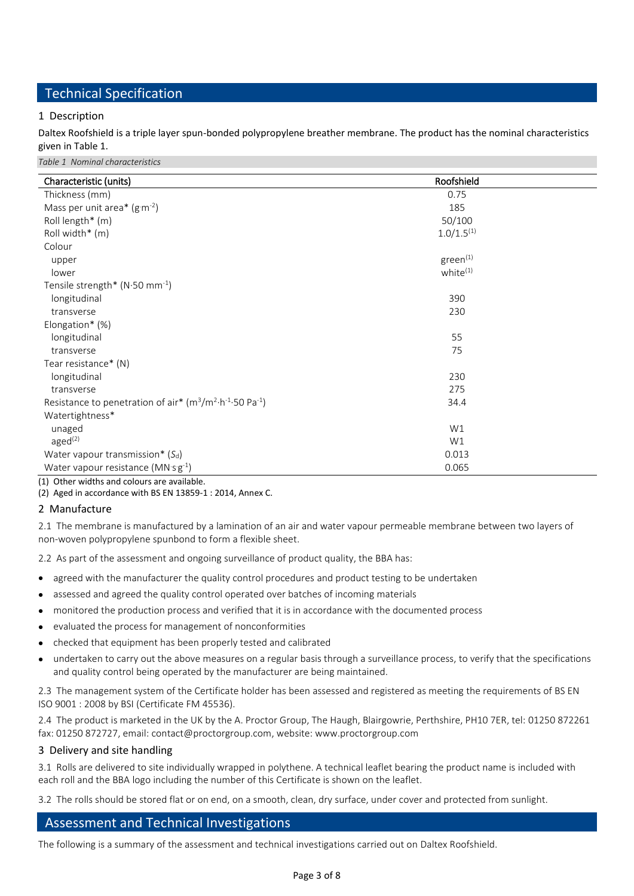# Technical Specification

## 1 Description

Daltex Roofshield is a triple layer spun-bonded polypropylene breather membrane. The product has the nominal characteristics given in Table 1.

*Table 1 Nominal characteristics*

| Characteristic (units)                                                              | Roofshield           |
|-------------------------------------------------------------------------------------|----------------------|
| Thickness (mm)                                                                      | 0.75                 |
| Mass per unit area* $(g·m-2)$                                                       | 185                  |
| Roll length* (m)                                                                    | 50/100               |
| Roll width* (m)                                                                     | $1.0/1.5^{(1)}$      |
| Colour                                                                              |                      |
| upper                                                                               | $green^{(1)}$        |
| lower                                                                               | white <sup>(1)</sup> |
|                                                                                     |                      |
| Tensile strength* (N·50 mm <sup>-1</sup> )                                          |                      |
| longitudinal                                                                        | 390                  |
| transverse                                                                          | 230                  |
| Elongation* (%)                                                                     |                      |
| longitudinal                                                                        | 55                   |
| transverse                                                                          | 75                   |
| Tear resistance* (N)                                                                |                      |
| longitudinal                                                                        | 230                  |
| transverse                                                                          | 275                  |
| Resistance to penetration of air* $(m^3/m^2 \cdot h^{-1} \cdot 50 \text{ Pa}^{-1})$ | 34.4                 |
| Watertightness*                                                                     |                      |
| unaged                                                                              | W1                   |
| aged <sup>(2)</sup>                                                                 | W1                   |
| Water vapour transmission* $(S_d)$                                                  | 0.013                |
| Water vapour resistance $(MNsg^{-1})$                                               | 0.065                |
| (1) Other widths and colours are available.                                         |                      |

(2) Aged in accordance with BS EN 13859-1 : 2014, Annex C.

## 2 Manufacture

2.1 The membrane is manufactured by a lamination of an air and water vapour permeable membrane between two layers of non-woven polypropylene spunbond to form a flexible sheet.

2.2 As part of the assessment and ongoing surveillance of product quality, the BBA has:

- agreed with the manufacturer the quality control procedures and product testing to be undertaken
- assessed and agreed the quality control operated over batches of incoming materials
- monitored the production process and verified that it is in accordance with the documented process
- evaluated the process for management of nonconformities
- checked that equipment has been properly tested and calibrated
- undertaken to carry out the above measures on a regular basis through a surveillance process, to verify that the specifications and quality control being operated by the manufacturer are being maintained.

2.3 The management system of the Certificate holder has been assessed and registered as meeting the requirements of BS EN ISO 9001 : 2008 by BSI (Certificate FM 45536).

2.4 The product is marketed in the UK by the A. Proctor Group, The Haugh, Blairgowrie, Perthshire, PH10 7ER, tel: 01250 872261 fax: 01250 872727, email: contact@proctorgroup.com, website: www.proctorgroup.com

#### 3 Delivery and site handling

3.1 Rolls are delivered to site individually wrapped in polythene. A technical leaflet bearing the product name is included with each roll and the BBA logo including the number of this Certificate is shown on the leaflet.

3.2 The rolls should be stored flat or on end, on a smooth, clean, dry surface, under cover and protected from sunlight.

## Assessment and Technical Investigations

The following is a summary of the assessment and technical investigations carried out on Daltex Roofshield.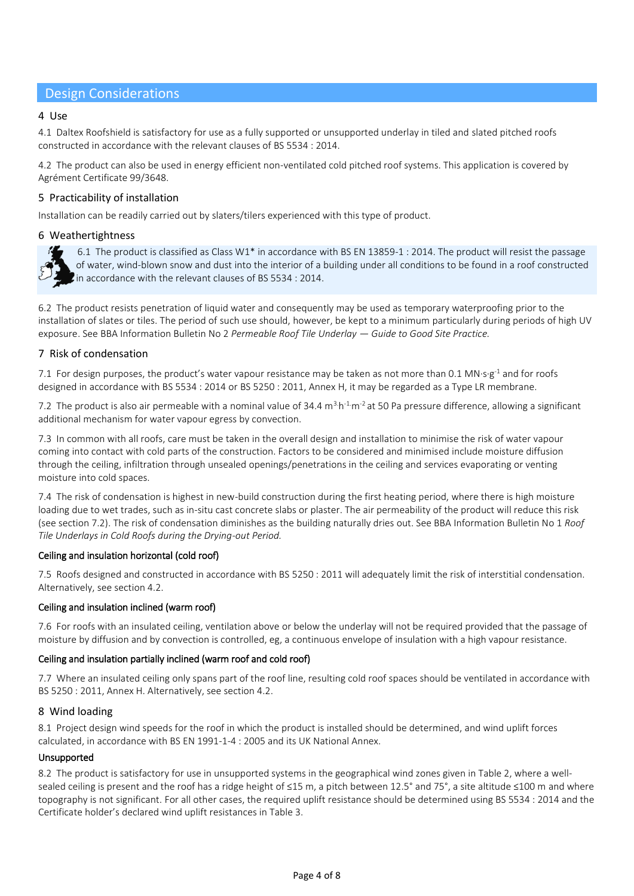## Design Considerations

### 4 Use

4.1 Daltex Roofshield is satisfactory for use as a fully supported or unsupported underlay in tiled and slated pitched roofs constructed in accordance with the relevant clauses of BS 5534 : 2014.

4.2 The product can also be used in energy efficient non-ventilated cold pitched roof systems. This application is covered by Agrément Certificate 99/3648.

### 5 Practicability of installation

Installation can be readily carried out by slaters/tilers experienced with this type of product.

### 6 Weathertightness



 6.1 The product is classified as Class W1\* in accordance with BS EN 13859-1 : 2014. The product will resist the passage of water, wind-blown snow and dust into the interior of a building under all conditions to be found in a roof constructed In accordance with the relevant clauses of BS 5534 : 2014.

6.2 The product resists penetration of liquid water and consequently may be used as temporary waterproofing prior to the installation of slates or tiles. The period of such use should, however, be kept to a minimum particularly during periods of high UV exposure. See BBA Information Bulletin No 2 *Permeable Roof Tile Underlay — Guide to Good Site Practice.*

### 7 Risk of condensation

7.1 For design purposes, the product's water vapour resistance may be taken as not more than 0.1 MN⋅s∙g<sup>-1</sup> and for roofs designed in accordance with BS 5534 : 2014 or BS 5250 : 2011, Annex H, it may be regarded as a Type LR membrane.

7.2 The product is also air permeable with a nominal value of 34.4  $m^3h^1m^2$  at 50 Pa pressure difference, allowing a significant additional mechanism for water vapour egress by convection.

7.3 In common with all roofs, care must be taken in the overall design and installation to minimise the risk of water vapour coming into contact with cold parts of the construction. Factors to be considered and minimised include moisture diffusion through the ceiling, infiltration through unsealed openings/penetrations in the ceiling and services evaporating or venting moisture into cold spaces.

7.4 The risk of condensation is highest in new-build construction during the first heating period, where there is high moisture loading due to wet trades, such as in-situ cast concrete slabs or plaster. The air permeability of the product will reduce this risk (see section 7.2). The risk of condensation diminishes as the building naturally dries out. See BBA Information Bulletin No 1 *Roof Tile Underlays in Cold Roofs during the Drying-out Period.*

#### Ceiling and insulation horizontal (cold roof)

7.5 Roofs designed and constructed in accordance with BS 5250 : 2011 will adequately limit the risk of interstitial condensation. Alternatively, see section 4.2.

#### Ceiling and insulation inclined (warm roof)

7.6 For roofs with an insulated ceiling, ventilation above or below the underlay will not be required provided that the passage of moisture by diffusion and by convection is controlled, eg, a continuous envelope of insulation with a high vapour resistance.

#### Ceiling and insulation partially inclined (warm roof and cold roof)

7.7 Where an insulated ceiling only spans part of the roof line, resulting cold roof spaces should be ventilated in accordance with BS 5250 : 2011, Annex H. Alternatively, see section 4.2.

#### 8 Wind loading

8.1 Project design wind speeds for the roof in which the product is installed should be determined, and wind uplift forces calculated, in accordance with BS EN 1991-1-4 : 2005 and its UK National Annex.

#### Unsupported

8.2 The product is satisfactory for use in unsupported systems in the geographical wind zones given in Table 2, where a wellsealed ceiling is present and the roof has a ridge height of ≤15 m, a pitch between 12.5° and 75°, a site altitude ≤100 m and where topography is not significant. For all other cases, the required uplift resistance should be determined using BS 5534 : 2014 and the Certificate holder's declared wind uplift resistances in Table 3.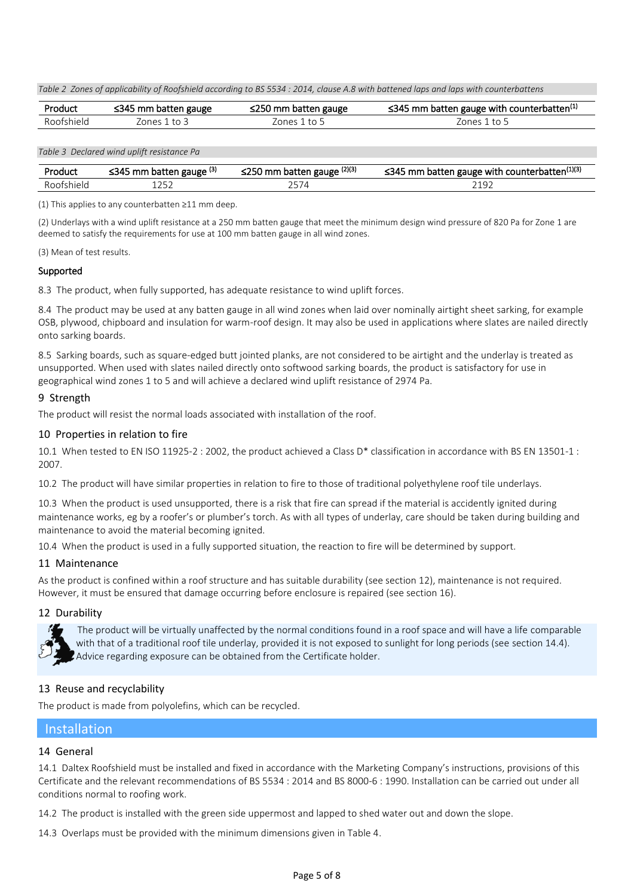*Table 2 Zones of applicability of Roofshield according to BS 5534 : 2014, clause A.8 with battened laps and laps with counterbattens*

| Product    | $\leq$ 345 mm batten gauge | $\leq$ 250 mm batten gauge | $\leq$ 345 mm batten gauge with counterbatten $^{(1)}$ |
|------------|----------------------------|----------------------------|--------------------------------------------------------|
| Roofshield | nnes i<br>ŤΩ               | to 5<br>'ones 1            | Zones 1 to 5                                           |

*Table 3 Declared wind uplift resistance Pa*

| Produc          | mm batten gauge (3)<br>ר∡34 | $\ldots$ patten gauge $(2)(3)$<br>-222<br>mm<br>22J J | gauge with counterbatten <sup>(1)(3)</sup><br><345<br>mm<br>. batten |
|-----------------|-----------------------------|-------------------------------------------------------|----------------------------------------------------------------------|
| $\sim$ -tchipin | ᆂᆮᇰᄼ                        | ، ب ے                                                 | ≙∩ ר                                                                 |

(1) This applies to any counterbatten ≥11 mm deep.

(2) Underlays with a wind uplift resistance at a 250 mm batten gauge that meet the minimum design wind pressure of 820 Pa for Zone 1 are deemed to satisfy the requirements for use at 100 mm batten gauge in all wind zones.

(3) Mean of test results.

#### Supported

8.3 The product, when fully supported, has adequate resistance to wind uplift forces.

8.4 The product may be used at any batten gauge in all wind zones when laid over nominally airtight sheet sarking, for example OSB, plywood, chipboard and insulation for warm-roof design. It may also be used in applications where slates are nailed directly onto sarking boards.

8.5 Sarking boards, such as square-edged butt jointed planks, are not considered to be airtight and the underlay is treated as unsupported. When used with slates nailed directly onto softwood sarking boards, the product is satisfactory for use in geographical wind zones 1 to 5 and will achieve a declared wind uplift resistance of 2974 Pa.

### 9 Strength

The product will resist the normal loads associated with installation of the roof.

#### 10 Properties in relation to fire

10.1 When tested to EN ISO 11925-2 : 2002, the product achieved a Class D\* classification in accordance with BS EN 13501-1 : 2007.

10.2 The product will have similar properties in relation to fire to those of traditional polyethylene roof tile underlays.

10.3 When the product is used unsupported, there is a risk that fire can spread if the material is accidently ignited during maintenance works, eg by a roofer's or plumber's torch. As with all types of underlay, care should be taken during building and maintenance to avoid the material becoming ignited.

10.4 When the product is used in a fully supported situation, the reaction to fire will be determined by support.

#### 11 Maintenance

As the product is confined within a roof structure and has suitable durability (see section 12), maintenance is not required. However, it must be ensured that damage occurring before enclosure is repaired (see section 16).

#### 12 Durability



 The product will be virtually unaffected by the normal conditions found in a roof space and will have a life comparable with that of a traditional roof tile underlay, provided it is not exposed to sunlight for long periods (see section 14.4). Advice regarding exposure can be obtained from the Certificate holder.

## 13 Reuse and recyclability

The product is made from polyolefins, which can be recycled.

## Installation

## 14 General

14.1 Daltex Roofshield must be installed and fixed in accordance with the Marketing Company's instructions, provisions of this Certificate and the relevant recommendations of BS 5534 : 2014 and BS 8000-6 : 1990. Installation can be carried out under all conditions normal to roofing work.

14.2 The product is installed with the green side uppermost and lapped to shed water out and down the slope.

14.3 Overlaps must be provided with the minimum dimensions given in Table 4.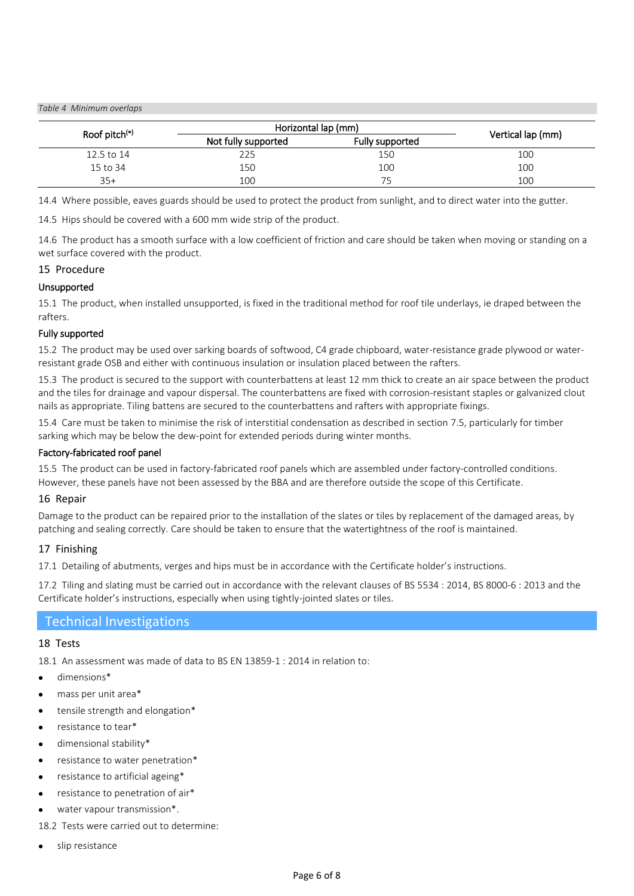*Table 4 Minimum overlaps*

| Roof pitch <sup>(°)</sup> | Horizontal lap (mm) |                 |                   |
|---------------------------|---------------------|-----------------|-------------------|
|                           | Not fully supported | Fully supported | Vertical lap (mm) |
| 12.5 to 14                | 225                 | 150             | 100               |
| 15 to 34                  | 150                 | 100             | 100               |
| $35+$                     | 100                 |                 | 100               |

14.4 Where possible, eaves guards should be used to protect the product from sunlight, and to direct water into the gutter.

14.5 Hips should be covered with a 600 mm wide strip of the product.

14.6 The product has a smooth surface with a low coefficient of friction and care should be taken when moving or standing on a wet surface covered with the product.

#### 15 Procedure

### Unsupported

15.1 The product, when installed unsupported, is fixed in the traditional method for roof tile underlays, ie draped between the rafters.

#### Fully supported

15.2 The product may be used over sarking boards of softwood, C4 grade chipboard, water-resistance grade plywood or waterresistant grade OSB and either with continuous insulation or insulation placed between the rafters.

15.3 The product is secured to the support with counterbattens at least 12 mm thick to create an air space between the product and the tiles for drainage and vapour dispersal. The counterbattens are fixed with corrosion-resistant staples or galvanized clout nails as appropriate. Tiling battens are secured to the counterbattens and rafters with appropriate fixings.

15.4 Care must be taken to minimise the risk of interstitial condensation as described in section 7.5, particularly for timber sarking which may be below the dew-point for extended periods during winter months.

#### Factory-fabricated roof panel

15.5 The product can be used in factory-fabricated roof panels which are assembled under factory-controlled conditions. However, these panels have not been assessed by the BBA and are therefore outside the scope of this Certificate.

#### 16 Repair

Damage to the product can be repaired prior to the installation of the slates or tiles by replacement of the damaged areas, by patching and sealing correctly. Care should be taken to ensure that the watertightness of the roof is maintained.

#### 17 Finishing

17.1 Detailing of abutments, verges and hips must be in accordance with the Certificate holder's instructions.

17.2 Tiling and slating must be carried out in accordance with the relevant clauses of BS 5534 : 2014, BS 8000-6 : 2013 and the Certificate holder's instructions, especially when using tightly-jointed slates or tiles.

## Technical Investigations

#### 18 Tests

18.1 An assessment was made of data to BS EN 13859-1 : 2014 in relation to:

- dimensions\*
- mass per unit area\*
- tensile strength and elongation\*
- resistance to tear\*
- dimensional stability\*
- resistance to water penetration\*
- resistance to artificial ageing\*
- resistance to penetration of air\*
- water vapour transmission\*.
- 18.2 Tests were carried out to determine:
- slip resistance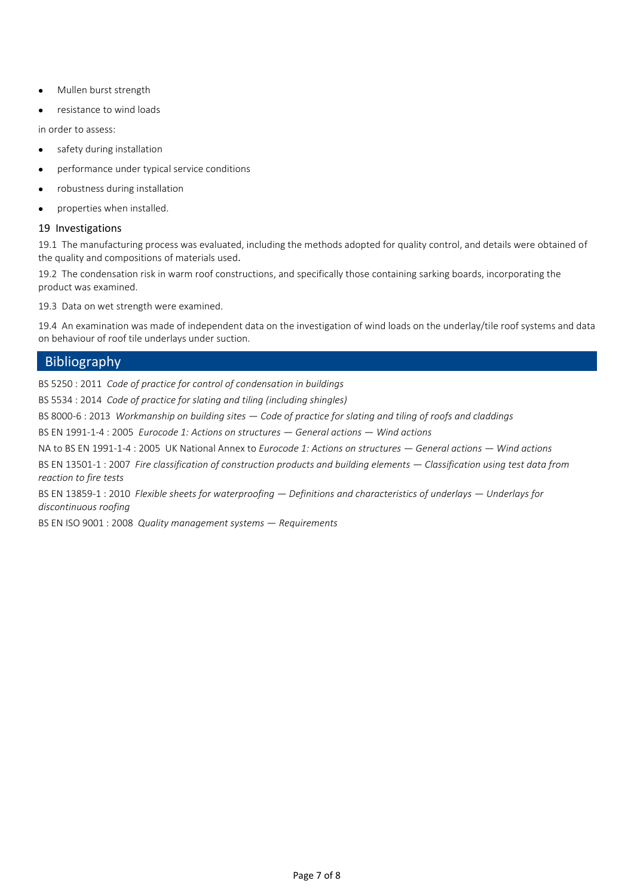- Mullen burst strength
- resistance to wind loads

in order to assess:

- safety during installation
- performance under typical service conditions
- robustness during installation
- properties when installed.

### 19 Investigations

19.1 The manufacturing process was evaluated, including the methods adopted for quality control, and details were obtained of the quality and compositions of materials used.

19.2 The condensation risk in warm roof constructions, and specifically those containing sarking boards, incorporating the product was examined.

19.3 Data on wet strength were examined.

19.4 An examination was made of independent data on the investigation of wind loads on the underlay/tile roof systems and data on behaviour of roof tile underlays under suction.

## **Bibliography**

BS 5250 : 2011 *Code of practice for control of condensation in buildings*

BS 5534 : 2014 *Code of practice for slating and tiling (including shingles)*

BS 8000-6 : 2013 *Workmanship on building sites — Code of practice for slating and tiling of roofs and claddings*

BS EN 1991-1-4 : 2005 *Eurocode 1: Actions on structures — General actions — Wind actions*

NA to BS EN 1991-1-4 : 2005 UK National Annex to *Eurocode 1: Actions on structures — General actions — Wind actions*

BS EN 13501-1 : 2007 *Fire classification of construction products and building elements — Classification using test data from reaction to fire tests*

BS EN 13859-1 : 2010 *Flexible sheets for waterproofing — Definitions and characteristics of underlays — Underlays for discontinuous roofing*

BS EN ISO 9001 : 2008 *Quality management systems — Requirements*